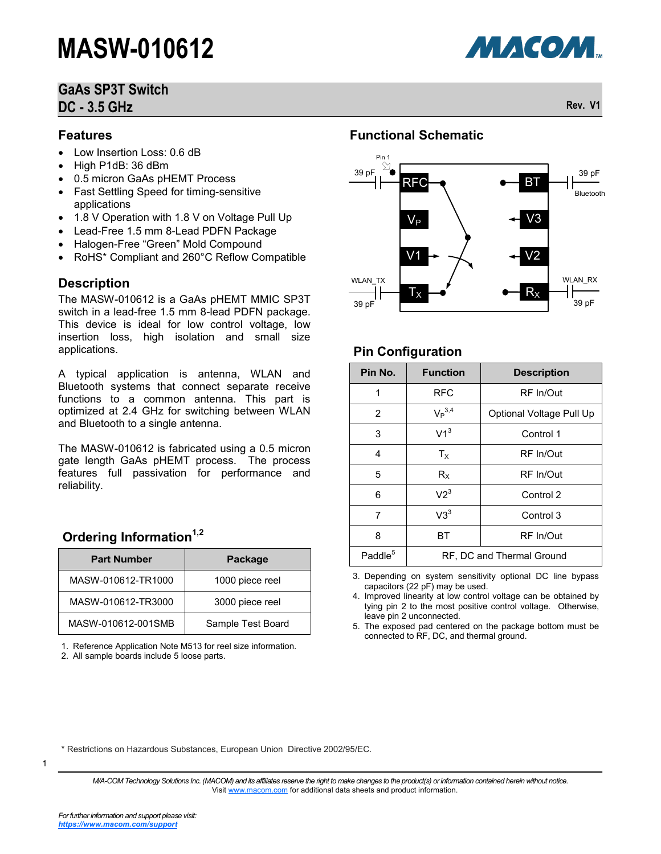# **GaAs SP3T Switch DC - 3.5 GHz Rev. V1**

### **Features**

- Low Insertion Loss: 0.6 dB
- High P1dB: 36 dBm
- 0.5 micron GaAs pHEMT Process
- Fast Settling Speed for timing-sensitive applications
- 1.8 V Operation with 1.8 V on Voltage Pull Up
- Lead-Free 1.5 mm 8-Lead PDFN Package
- Halogen-Free "Green" Mold Compound
- RoHS\* Compliant and 260°C Reflow Compatible

#### **Description**

The MASW-010612 is a GaAs pHEMT MMIC SP3T switch in a lead-free 1.5 mm 8-lead PDFN package. This device is ideal for low control voltage, low insertion loss, high isolation and small size applications.

A typical application is antenna, WLAN and Bluetooth systems that connect separate receive functions to a common antenna. This part is optimized at 2.4 GHz for switching between WLAN and Bluetooth to a single antenna.

The MASW-010612 is fabricated using a 0.5 micron gate length GaAs pHEMT process. The process features full passivation for performance and reliability.

### **Ordering Information1,2**

| <b>Part Number</b> | Package           |
|--------------------|-------------------|
| MASW-010612-TR1000 | 1000 piece reel   |
| MASW-010612-TR3000 | 3000 piece reel   |
| MASW-010612-001SMB | Sample Test Board |

1. Reference Application Note M513 for reel size information.

2. All sample boards include 5 loose parts.

# **Functional Schematic**



### **Pin Configuration**

| Pin No.             | <b>Function</b>           | <b>Description</b>       |  |  |
|---------------------|---------------------------|--------------------------|--|--|
| 1                   | RFC                       | RF In/Out                |  |  |
| 2                   | $V_P$ <sup>3,4</sup>      | Optional Voltage Pull Up |  |  |
| 3                   | V1 <sup>3</sup>           | Control 1                |  |  |
| 4                   | $T_{\rm X}$               | RF In/Out                |  |  |
| 5                   | $R_X$                     | RF In/Out                |  |  |
| 6                   | V2 <sup>3</sup>           | Control 2                |  |  |
| 7                   | $V3^3$                    | Control 3                |  |  |
| 8                   | ВT                        | RF In/Out                |  |  |
| Paddle <sup>5</sup> | RF, DC and Thermal Ground |                          |  |  |

3. Depending on system sensitivity optional DC line bypass capacitors (22 pF) may be used.

4. Improved linearity at low control voltage can be obtained by tying pin 2 to the most positive control voltage. Otherwise, leave pin 2 unconnected.

5. The exposed pad centered on the package bottom must be connected to RF, DC, and thermal ground.

\* Restrictions on Hazardous Substances, European Union Directive 2002/95/EC.

*M/A-COM Technology Solutions Inc. (MACOM) and its affiliates reserve the right to make changes to the product(s) or information contained herein without notice.*  Visit [www.macom.com](http://www.macom.com/) for additional data sheets and product information.

1

**МАСОМ.**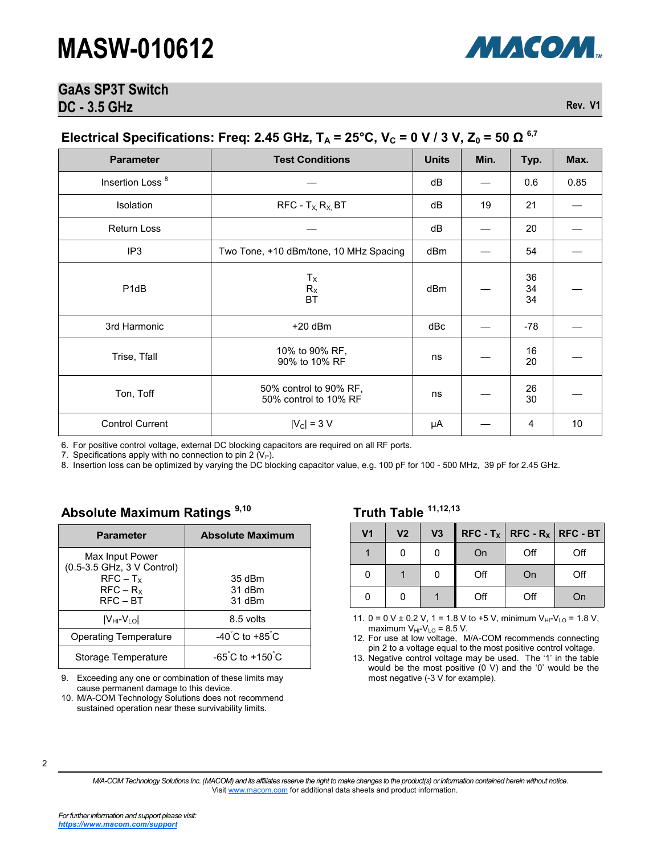

### **GaAs SP3T Switch DC - 3.5 GHz** Rev. V1

# **Electrical Specifications: Freq: 2.45 GHz, T<sup>A</sup> = 25°C, V<sup>C</sup> = 0 V / 3 V, Z<sup>0</sup> = 50 Ω 6,7**

| <b>Parameter</b>              | <b>Test Conditions</b>                          | <b>Units</b>    | Min. | Typ.           | Max. |
|-------------------------------|-------------------------------------------------|-----------------|------|----------------|------|
| Insertion Loss <sup>8</sup>   |                                                 | dB              |      | 0.6            | 0.85 |
| Isolation                     | $RFC - T_X R_X BT$                              | dB              | 19   | 21             |      |
| <b>Return Loss</b>            |                                                 | dB              |      | 20             |      |
| IP <sub>3</sub>               | Two Tone, +10 dBm/tone, 10 MHz Spacing          | dBm             |      | 54             |      |
| P <sub>1</sub> d <sub>B</sub> | $T_{\rm X}$<br>$R_X$<br>BT                      | dB <sub>m</sub> |      | 36<br>34<br>34 |      |
| 3rd Harmonic                  | $+20$ dBm                                       | dBc             |      | $-78$          |      |
| Trise, Tfall                  | 10% to 90% RF,<br>90% to 10% RF                 | ns              |      | 16<br>20       |      |
| Ton, Toff                     | 50% control to 90% RF,<br>50% control to 10% RF | ns              |      | 26<br>30       |      |
| <b>Control Current</b>        | $ V_C  = 3 V$                                   | μA              |      | 4              | 10   |

6. For positive control voltage, external DC blocking capacitors are required on all RF ports.

7. Specifications apply with no connection to pin 2  $(V_P)$ .

8. Insertion loss can be optimized by varying the DC blocking capacitor value, e.g. 100 pF for 100 - 500 MHz, 39 pF for 2.45 GHz.

### **Absolute Maximum Ratings 9,10**

| <b>Parameter</b>                                                                          | <b>Absolute Maximum</b>             |
|-------------------------------------------------------------------------------------------|-------------------------------------|
| Max Input Power<br>(0.5-3.5 GHz, 3 V Control)<br>$RFC - T_X$<br>$RFC - R_X$<br>$RFC - BT$ | 35 dBm<br>31 dBm<br>31 dBm          |
| $ V_{HI}$ - $V_{LO} $                                                                     | 8.5 volts                           |
| <b>Operating Temperature</b>                                                              | $-40^{\circ}$ C to $+85^{\circ}$ C  |
| Storage Temperature                                                                       | $-65^{\circ}$ C to $+150^{\circ}$ C |

9. Exceeding any one or combination of these limits may cause permanent damage to this device.

10. M/A-COM Technology Solutions does not recommend sustained operation near these survivability limits.

#### **Truth Table 11,12,13**

| V <sub>1</sub> | V <sub>2</sub> | V3 |     |     | $RFC - T_X   RFC - R_X   RFC - BT  $ |
|----------------|----------------|----|-----|-----|--------------------------------------|
|                |                |    | On  | Off | Off                                  |
| O              |                |    | Off | On  | Off                                  |
|                |                |    | Off | Off | On                                   |

11. 0 = 0 V ± 0.2 V, 1 = 1.8 V to +5 V, minimum  $V_{HI}$ - $V_{LO}$  = 1.8 V, maximum  $V_{HI}$ - $V_{LO}$  = 8.5 V.

12. For use at low voltage, M/A-COM recommends connecting pin 2 to a voltage equal to the most positive control voltage.

13. Negative control voltage may be used. The '1' in the table would be the most positive  $(0 V)$  and the '0' would be the most negative (-3 V for example).

2

*M/A-COM Technology Solutions Inc. (MACOM) and its affiliates reserve the right to make changes to the product(s) or information contained herein without notice.*  Visit [www.macom.com](http://www.macom.com/) for additional data sheets and product information.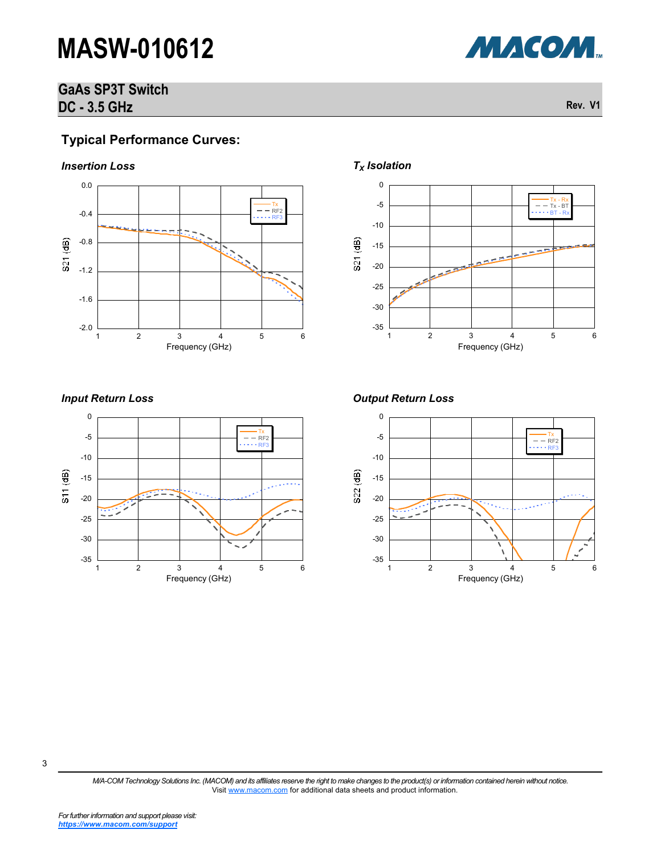# **GaAs SP3T Switch DC - 3.5 GHz Rev. V1**

## **Typical Performance Curves:**







*M/A-COM Technology Solutions Inc. (MACOM) and its affiliates reserve the right to make changes to the product(s) or information contained herein without notice.*  Visit [www.macom.com](http://www.macom.com/) for additional data sheets and product information.



 $-$ RF2 RF3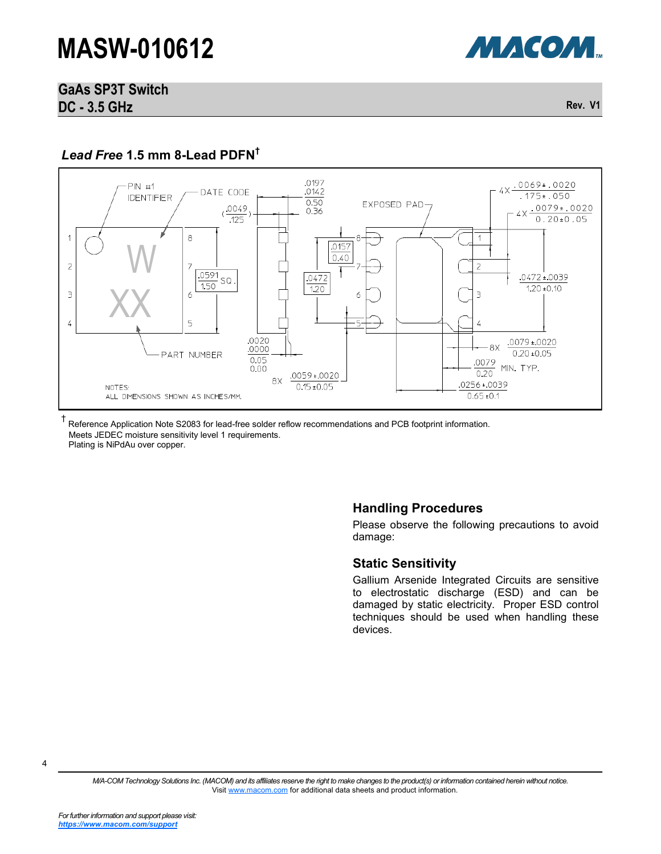

# **GaAs SP3T Switch DC - 3.5 GHz** Rev. V1

### *Lead Free* **1.5 mm 8-Lead PDFN†**



† Reference Application Note S2083 for lead-free solder reflow recommendations and PCB footprint information. Meets JEDEC moisture sensitivity level 1 requirements. Plating is NiPdAu over copper.

### **Handling Procedures**

Please observe the following precautions to avoid damage:

#### **Static Sensitivity**

Gallium Arsenide Integrated Circuits are sensitive to electrostatic discharge (ESD) and can be damaged by static electricity. Proper ESD control techniques should be used when handling these devices.

4

*M/A-COM Technology Solutions Inc. (MACOM) and its affiliates reserve the right to make changes to the product(s) or information contained herein without notice.*  Visit [www.macom.com](http://www.macom.com/) for additional data sheets and product information.